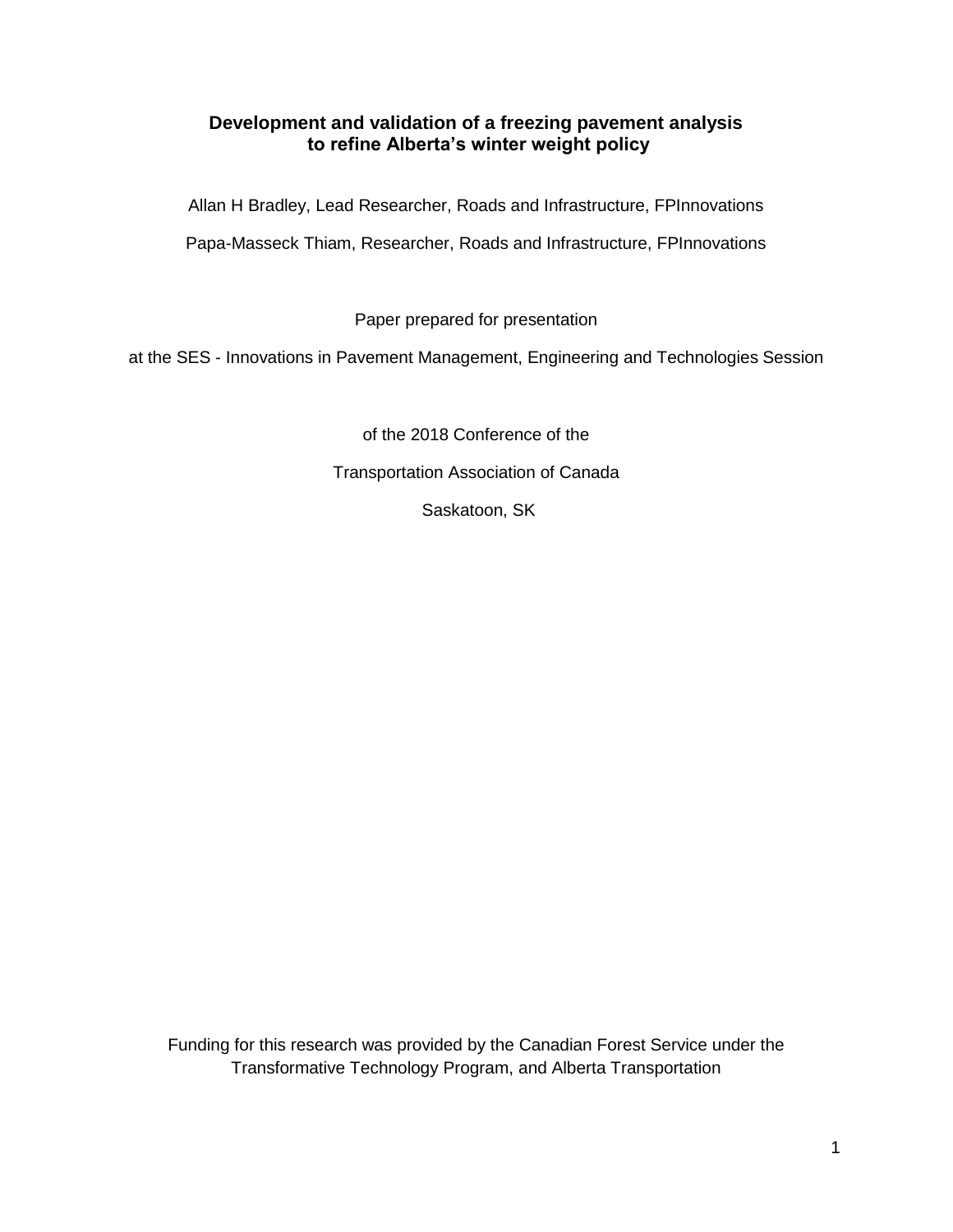## **Development and validation of a freezing pavement analysis to refine Alberta's winter weight policy**

Allan H Bradley, Lead Researcher, Roads and Infrastructure, FPInnovations

Papa-Masseck Thiam, Researcher, Roads and Infrastructure, FPInnovations

Paper prepared for presentation

at the SES - Innovations in Pavement Management, Engineering and Technologies Session

of the 2018 Conference of the Transportation Association of Canada Saskatoon, SK

Funding for this research was provided by the Canadian Forest Service under the Transformative Technology Program, and Alberta Transportation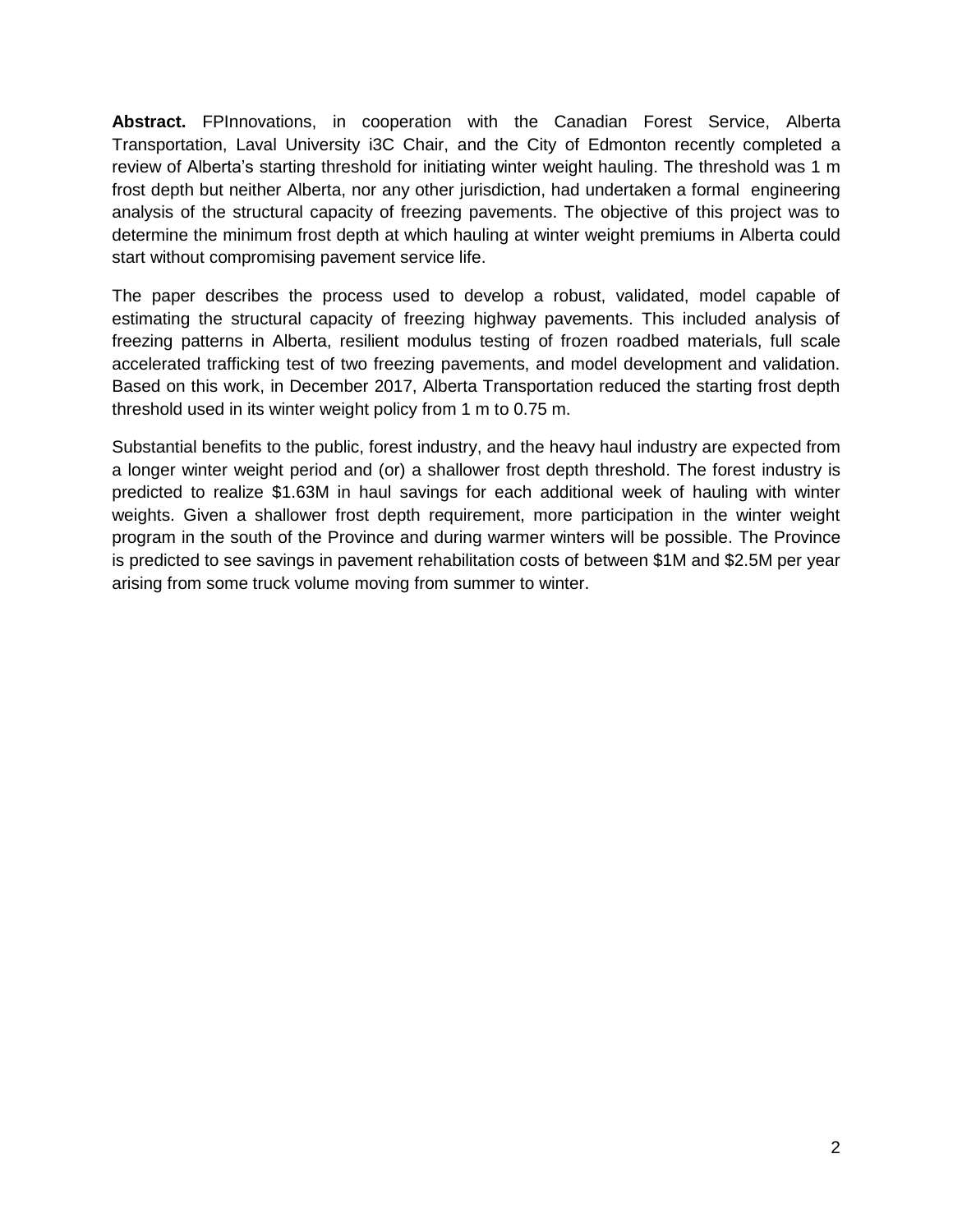**Abstract.** FPInnovations, in cooperation with the Canadian Forest Service, Alberta Transportation, Laval University i3C Chair, and the City of Edmonton recently completed a review of Alberta's starting threshold for initiating winter weight hauling. The threshold was 1 m frost depth but neither Alberta, nor any other jurisdiction, had undertaken a formal engineering analysis of the structural capacity of freezing pavements. The objective of this project was to determine the minimum frost depth at which hauling at winter weight premiums in Alberta could start without compromising pavement service life.

The paper describes the process used to develop a robust, validated, model capable of estimating the structural capacity of freezing highway pavements. This included analysis of freezing patterns in Alberta, resilient modulus testing of frozen roadbed materials, full scale accelerated trafficking test of two freezing pavements, and model development and validation. Based on this work, in December 2017, Alberta Transportation reduced the starting frost depth threshold used in its winter weight policy from 1 m to 0.75 m.

Substantial benefits to the public, forest industry, and the heavy haul industry are expected from a longer winter weight period and (or) a shallower frost depth threshold. The forest industry is predicted to realize \$1.63M in haul savings for each additional week of hauling with winter weights. Given a shallower frost depth requirement, more participation in the winter weight program in the south of the Province and during warmer winters will be possible. The Province is predicted to see savings in pavement rehabilitation costs of between \$1M and \$2.5M per year arising from some truck volume moving from summer to winter.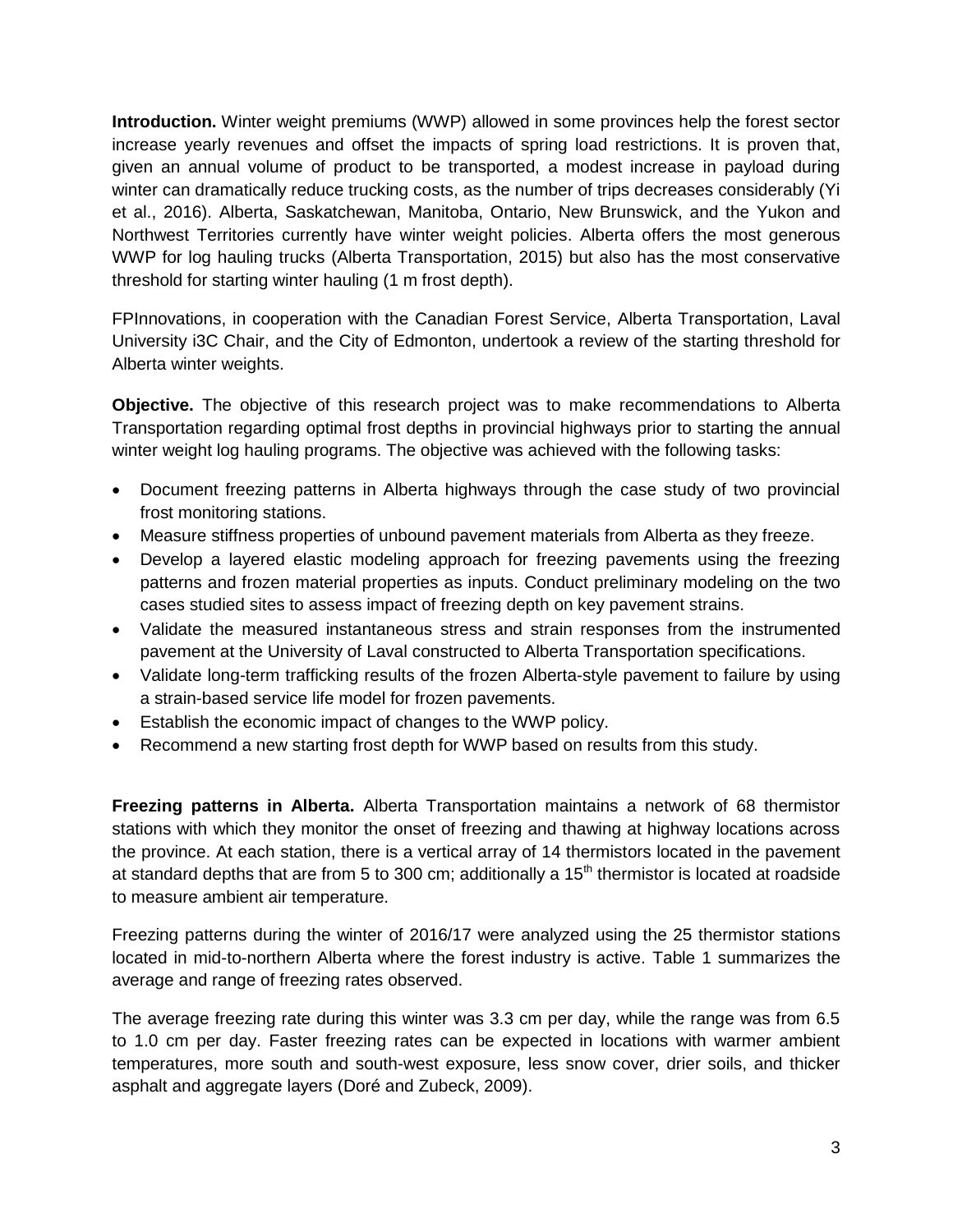**Introduction.** Winter weight premiums (WWP) allowed in some provinces help the forest sector increase yearly revenues and offset the impacts of spring load restrictions. It is proven that, given an annual volume of product to be transported, a modest increase in payload during winter can dramatically reduce trucking costs, as the number of trips decreases considerably (Yi et al., 2016). Alberta, Saskatchewan, Manitoba, Ontario, New Brunswick, and the Yukon and Northwest Territories currently have winter weight policies. Alberta offers the most generous WWP for log hauling trucks (Alberta Transportation, 2015) but also has the most conservative threshold for starting winter hauling (1 m frost depth).

FPInnovations, in cooperation with the Canadian Forest Service, Alberta Transportation, Laval University i3C Chair, and the City of Edmonton, undertook a review of the starting threshold for Alberta winter weights.

**Objective.** The objective of this research project was to make recommendations to Alberta Transportation regarding optimal frost depths in provincial highways prior to starting the annual winter weight log hauling programs. The objective was achieved with the following tasks:

- Document freezing patterns in Alberta highways through the case study of two provincial frost monitoring stations.
- Measure stiffness properties of unbound pavement materials from Alberta as they freeze.
- Develop a layered elastic modeling approach for freezing pavements using the freezing patterns and frozen material properties as inputs. Conduct preliminary modeling on the two cases studied sites to assess impact of freezing depth on key pavement strains.
- Validate the measured instantaneous stress and strain responses from the instrumented pavement at the University of Laval constructed to Alberta Transportation specifications.
- Validate long-term trafficking results of the frozen Alberta-style pavement to failure by using a strain-based service life model for frozen pavements.
- Establish the economic impact of changes to the WWP policy.
- Recommend a new starting frost depth for WWP based on results from this study.

**Freezing patterns in Alberta.** Alberta Transportation maintains a network of 68 thermistor stations with which they monitor the onset of freezing and thawing at highway locations across the province. At each station, there is a vertical array of 14 thermistors located in the pavement at standard depths that are from 5 to 300 cm; additionally a  $15<sup>th</sup>$  thermistor is located at roadside to measure ambient air temperature.

Freezing patterns during the winter of 2016/17 were analyzed using the 25 thermistor stations located in mid-to-northern Alberta where the forest industry is active. [Table 1](#page-3-0) summarizes the average and range of freezing rates observed.

The average freezing rate during this winter was 3.3 cm per day, while the range was from 6.5 to 1.0 cm per day. Faster freezing rates can be expected in locations with warmer ambient temperatures, more south and south-west exposure, less snow cover, drier soils, and thicker asphalt and aggregate layers (Doré and Zubeck, 2009).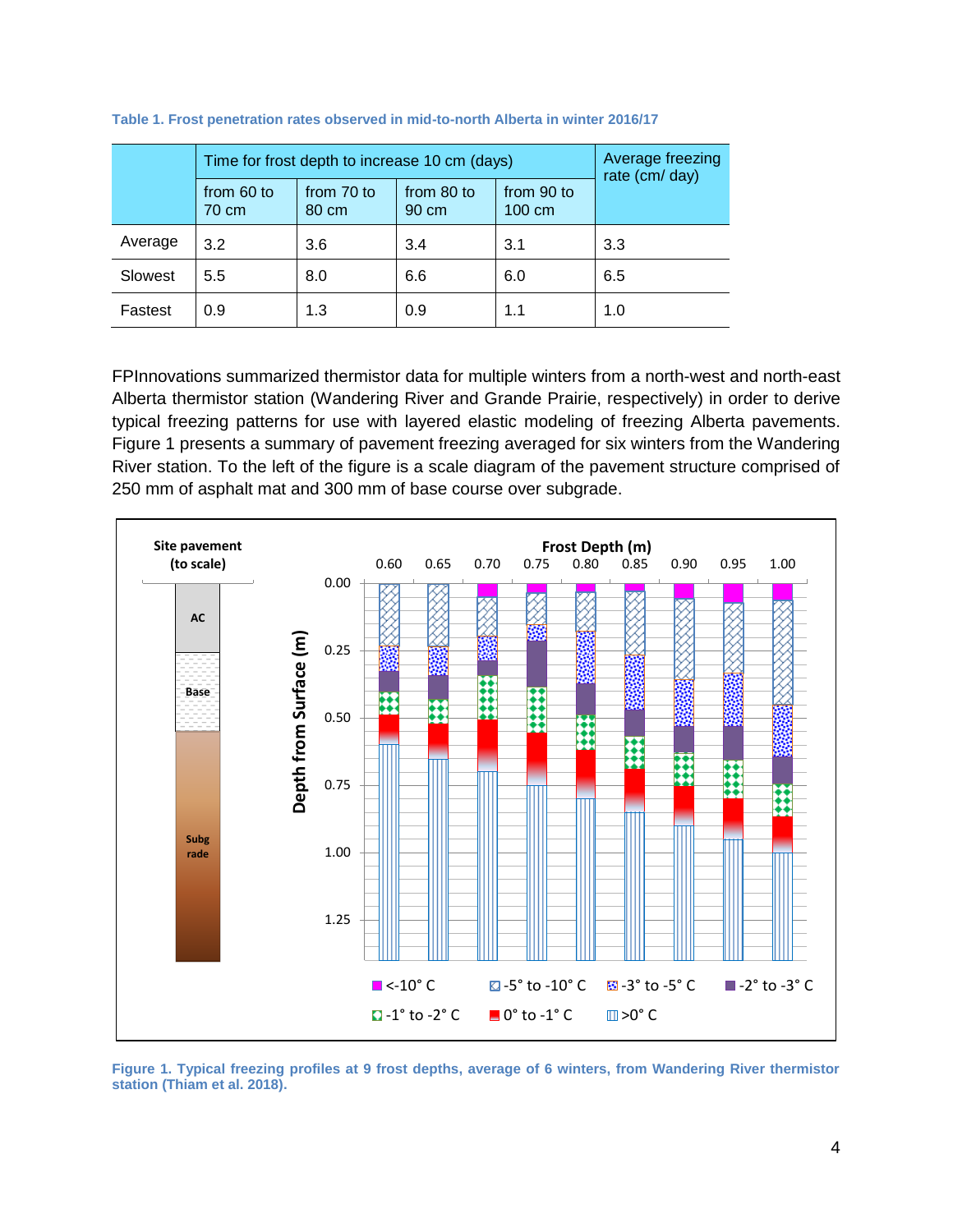|         | Time for frost depth to increase 10 cm (days) | Average freezing<br>rate (cm/ day) |                     |                                |     |  |
|---------|-----------------------------------------------|------------------------------------|---------------------|--------------------------------|-----|--|
|         | from 60 to<br>70 cm                           | from 70 to<br>80 cm                | from 80 to<br>90 cm | from 90 to<br>$100 \text{ cm}$ |     |  |
| Average | 3.2                                           | 3.6                                | 3.4                 | 3.1                            | 3.3 |  |
| Slowest | 5.5                                           | 8.0                                | 6.6                 | 6.0                            | 6.5 |  |
| Fastest | 0.9                                           | 1.3                                | 0.9                 | 1.1                            | 1.0 |  |

<span id="page-3-0"></span>**Table 1. Frost penetration rates observed in mid-to-north Alberta in winter 2016/17**

FPInnovations summarized thermistor data for multiple winters from a north-west and north-east Alberta thermistor station (Wandering River and Grande Prairie, respectively) in order to derive typical freezing patterns for use with layered elastic modeling of freezing Alberta pavements. [Figure 1](#page-3-1) presents a summary of pavement freezing averaged for six winters from the Wandering River station. To the left of the figure is a scale diagram of the pavement structure comprised of 250 mm of asphalt mat and 300 mm of base course over subgrade.



<span id="page-3-1"></span>**Figure 1. Typical freezing profiles at 9 frost depths, average of 6 winters, from Wandering River thermistor station (Thiam et al. 2018).**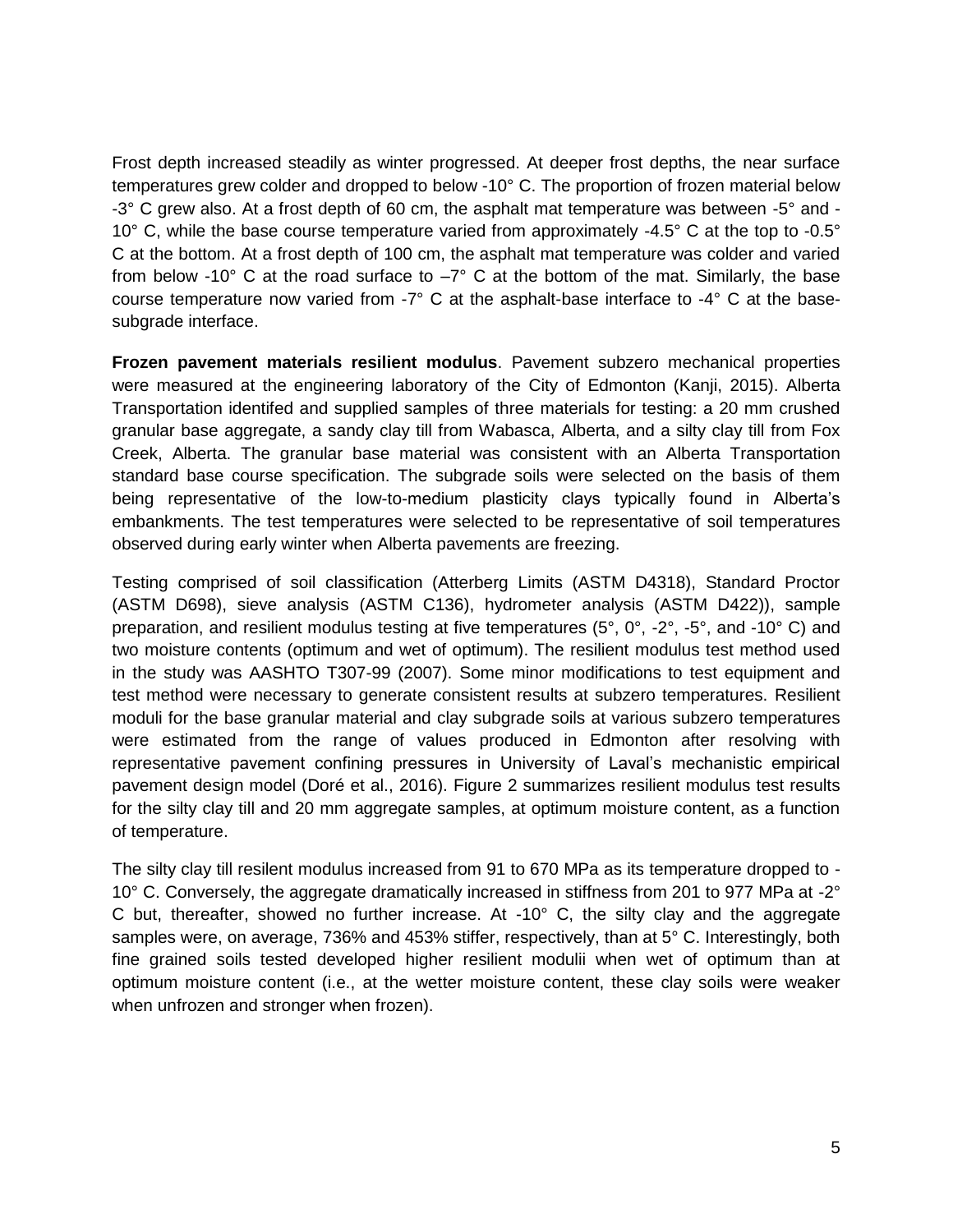Frost depth increased steadily as winter progressed. At deeper frost depths, the near surface temperatures grew colder and dropped to below -10° C. The proportion of frozen material below -3° C grew also. At a frost depth of 60 cm, the asphalt mat temperature was between -5° and - 10° C, while the base course temperature varied from approximately -4.5° C at the top to -0.5° C at the bottom. At a frost depth of 100 cm, the asphalt mat temperature was colder and varied from below -10 $^{\circ}$  C at the road surface to  $-7^{\circ}$  C at the bottom of the mat. Similarly, the base course temperature now varied from -7° C at the asphalt-base interface to -4° C at the basesubgrade interface.

**Frozen pavement materials resilient modulus**. Pavement subzero mechanical properties were measured at the engineering laboratory of the City of Edmonton (Kanji, 2015). Alberta Transportation identifed and supplied samples of three materials for testing: a 20 mm crushed granular base aggregate, a sandy clay till from Wabasca, Alberta, and a silty clay till from Fox Creek, Alberta. The granular base material was consistent with an Alberta Transportation standard base course specification. The subgrade soils were selected on the basis of them being representative of the low-to-medium plasticity clays typically found in Alberta's embankments. The test temperatures were selected to be representative of soil temperatures observed during early winter when Alberta pavements are freezing.

Testing comprised of soil classification (Atterberg Limits (ASTM D4318), Standard Proctor (ASTM D698), sieve analysis (ASTM C136), hydrometer analysis (ASTM D422)), sample preparation, and resilient modulus testing at five temperatures (5°, 0°, -2°, -5°, and -10° C) and two moisture contents (optimum and wet of optimum). The resilient modulus test method used in the study was AASHTO T307-99 (2007). Some minor modifications to test equipment and test method were necessary to generate consistent results at subzero temperatures. Resilient moduli for the base granular material and clay subgrade soils at various subzero temperatures were estimated from the range of values produced in Edmonton after resolving with representative pavement confining pressures in University of Laval's mechanistic empirical pavement design model (Doré et al., 2016). [Figure 2](#page-5-0) summarizes resilient modulus test results for the silty clay till and 20 mm aggregate samples, at optimum moisture content, as a function of temperature.

The silty clay till resilent modulus increased from 91 to 670 MPa as its temperature dropped to - 10° C. Conversely, the aggregate dramatically increased in stiffness from 201 to 977 MPa at -2° C but, thereafter, showed no further increase. At  $-10^{\circ}$  C, the silty clay and the aggregate samples were, on average, 736% and 453% stiffer, respectively, than at 5° C. Interestingly, both fine grained soils tested developed higher resilient modulii when wet of optimum than at optimum moisture content (i.e., at the wetter moisture content, these clay soils were weaker when unfrozen and stronger when frozen).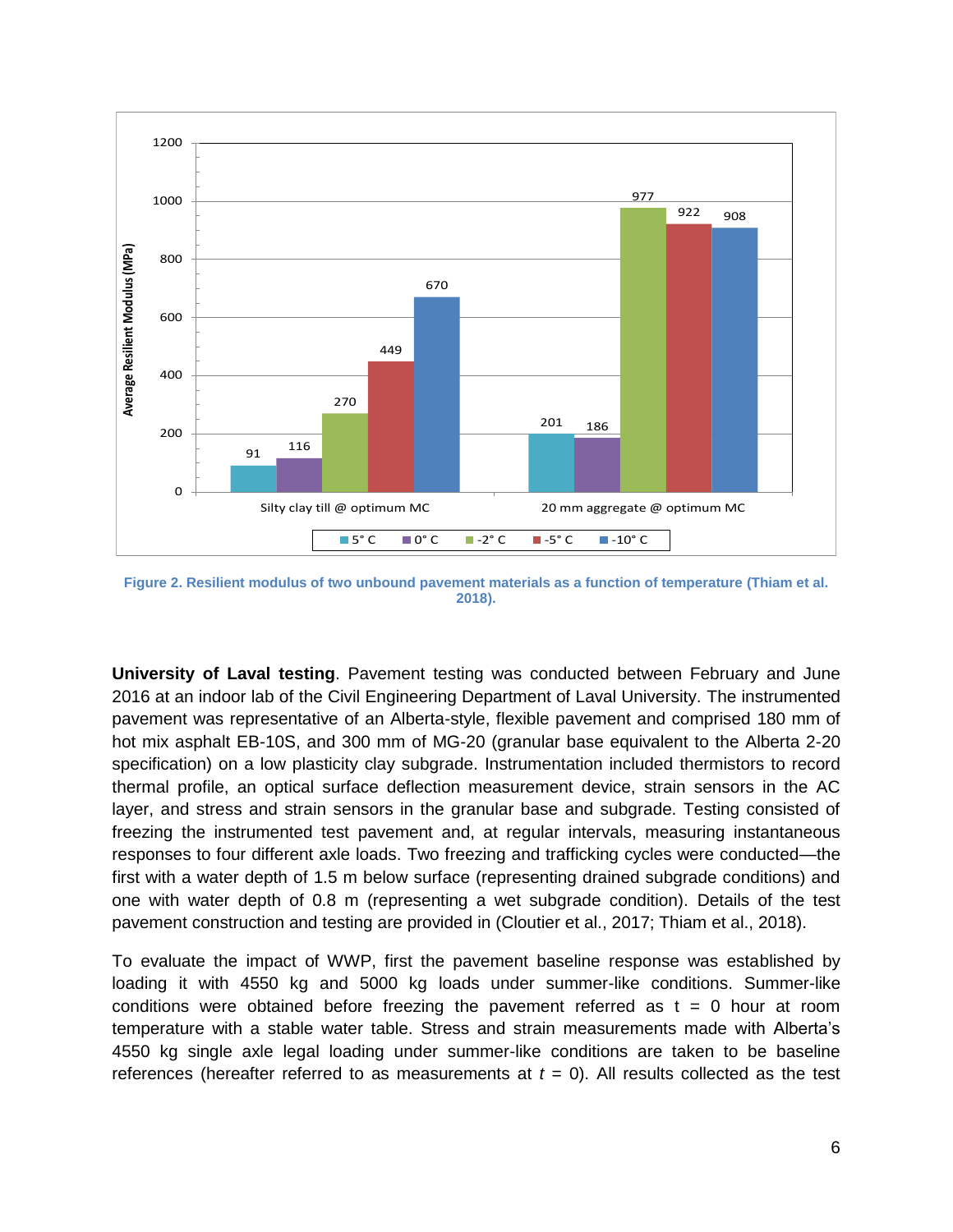

<span id="page-5-0"></span>**Figure 2. Resilient modulus of two unbound pavement materials as a function of temperature (Thiam et al. 2018).**

**University of Laval testing**. Pavement testing was conducted between February and June 2016 at an indoor lab of the Civil Engineering Department of Laval University. The instrumented pavement was representative of an Alberta-style, flexible pavement and comprised 180 mm of hot mix asphalt EB-10S, and 300 mm of MG-20 (granular base equivalent to the Alberta 2-20 specification) on a low plasticity clay subgrade. Instrumentation included thermistors to record thermal profile, an optical surface deflection measurement device, strain sensors in the AC layer, and stress and strain sensors in the granular base and subgrade. Testing consisted of freezing the instrumented test pavement and, at regular intervals, measuring instantaneous responses to four different axle loads. Two freezing and trafficking cycles were conducted—the first with a water depth of 1.5 m below surface (representing drained subgrade conditions) and one with water depth of 0.8 m (representing a wet subgrade condition). Details of the test pavement construction and testing are provided in (Cloutier et al., 2017; Thiam et al., 2018).

To evaluate the impact of WWP, first the pavement baseline response was established by loading it with 4550 kg and 5000 kg loads under summer-like conditions. Summer-like conditions were obtained before freezing the pavement referred as  $t = 0$  hour at room temperature with a stable water table. Stress and strain measurements made with Alberta's 4550 kg single axle legal loading under summer-like conditions are taken to be baseline references (hereafter referred to as measurements at  $t = 0$ ). All results collected as the test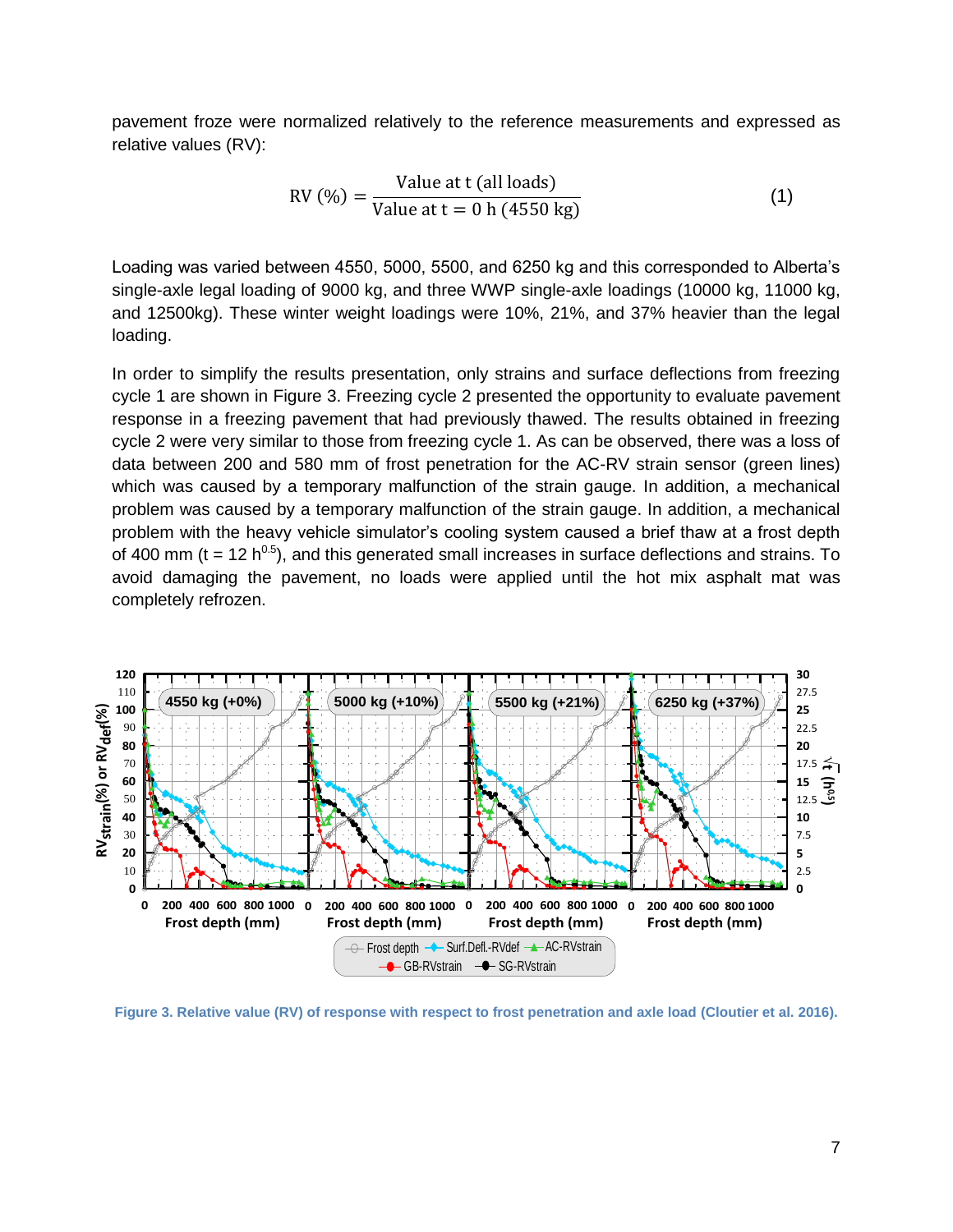pavement froze were normalized relatively to the reference measurements and expressed as relative values (RV):

$$
RV(%) = \frac{Value \text{ at } t \text{ (all loads)}}{Value \text{ at } t = 0 \text{ h } (4550 \text{ kg})}
$$
(1)

Loading was varied between 4550, 5000, 5500, and 6250 kg and this corresponded to Alberta's single-axle legal loading of 9000 kg, and three WWP single-axle loadings (10000 kg, 11000 kg, and 12500kg). These winter weight loadings were 10%, 21%, and 37% heavier than the legal loading.

In order to simplify the results presentation, only strains and surface deflections from freezing cycle 1 are shown in [Figure 3.](#page-6-0) Freezing cycle 2 presented the opportunity to evaluate pavement response in a freezing pavement that had previously thawed. The results obtained in freezing cycle 2 were very similar to those from freezing cycle 1. As can be observed, there was a loss of data between 200 and 580 mm of frost penetration for the AC-RV strain sensor (green lines) which was caused by a temporary malfunction of the strain gauge. In addition, a mechanical problem was caused by a temporary malfunction of the strain gauge. In addition, a mechanical problem with the heavy vehicle simulator's cooling system caused a brief thaw at a frost depth of 400 mm (t = 12  $h^{0.5}$ ), and this generated small increases in surface deflections and strains. To avoid damaging the pavement, no loads were applied until the hot mix asphalt mat was completely refrozen.



<span id="page-6-0"></span>**Figure 3. Relative value (RV) of response with respect to frost penetration and axle load (Cloutier et al. 2016).**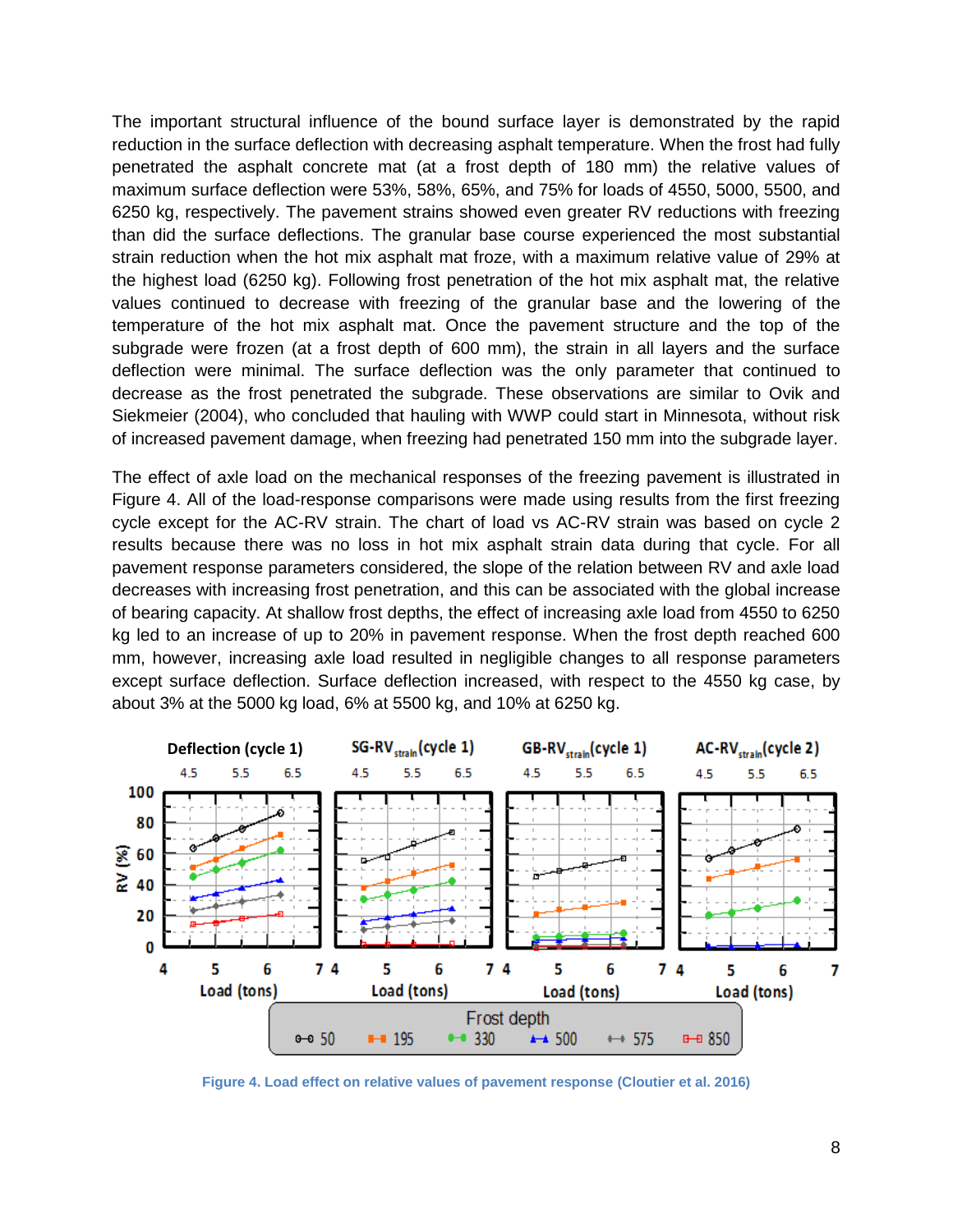The important structural influence of the bound surface layer is demonstrated by the rapid reduction in the surface deflection with decreasing asphalt temperature. When the frost had fully penetrated the asphalt concrete mat (at a frost depth of 180 mm) the relative values of maximum surface deflection were 53%, 58%, 65%, and 75% for loads of 4550, 5000, 5500, and 6250 kg, respectively. The pavement strains showed even greater RV reductions with freezing than did the surface deflections. The granular base course experienced the most substantial strain reduction when the hot mix asphalt mat froze, with a maximum relative value of 29% at the highest load (6250 kg). Following frost penetration of the hot mix asphalt mat, the relative values continued to decrease with freezing of the granular base and the lowering of the temperature of the hot mix asphalt mat. Once the pavement structure and the top of the subgrade were frozen (at a frost depth of 600 mm), the strain in all layers and the surface deflection were minimal. The surface deflection was the only parameter that continued to decrease as the frost penetrated the subgrade. These observations are similar to Ovik and Siekmeier (2004), who concluded that hauling with WWP could start in Minnesota, without risk of increased pavement damage, when freezing had penetrated 150 mm into the subgrade layer.

The effect of axle load on the mechanical responses of the freezing pavement is illustrated in Figure 4. All of the load-response comparisons were made using results from the first freezing cycle except for the AC-RV strain. The chart of load vs AC-RV strain was based on cycle 2 results because there was no loss in hot mix asphalt strain data during that cycle. For all pavement response parameters considered, the slope of the relation between RV and axle load decreases with increasing frost penetration, and this can be associated with the global increase of bearing capacity. At shallow frost depths, the effect of increasing axle load from 4550 to 6250 kg led to an increase of up to 20% in pavement response. When the frost depth reached 600 mm, however, increasing axle load resulted in negligible changes to all response parameters except surface deflection. Surface deflection increased, with respect to the 4550 kg case, by about 3% at the 5000 kg load, 6% at 5500 kg, and 10% at 6250 kg.



**Figure 4. Load effect on relative values of pavement response (Cloutier et al. 2016)**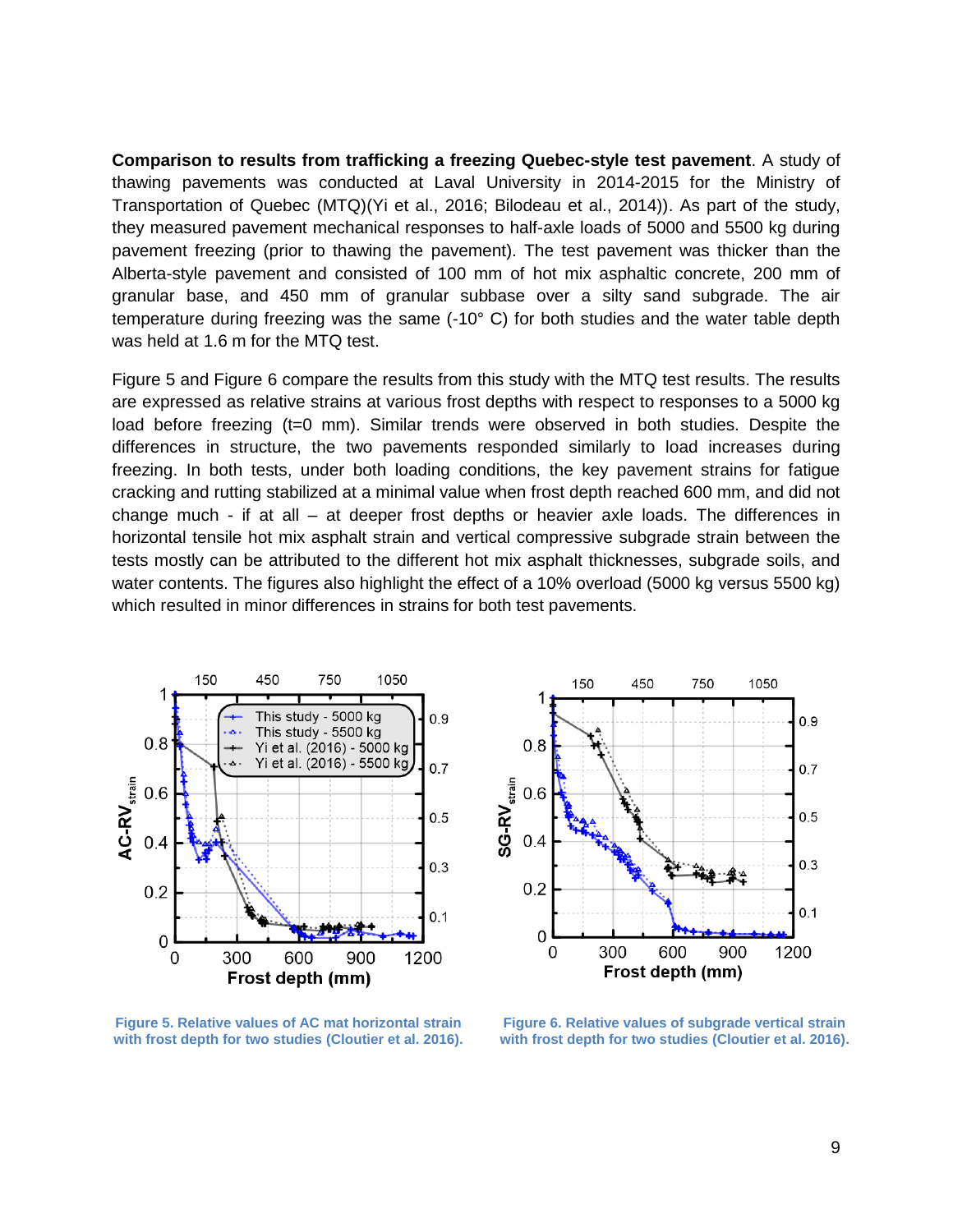**Comparison to results from trafficking a freezing Quebec-style test pavement**. A study of thawing pavements was conducted at Laval University in 2014-2015 for the Ministry of Transportation of Quebec (MTQ)(Yi et al., 2016; Bilodeau et al., 2014)). As part of the study, they measured pavement mechanical responses to half-axle loads of 5000 and 5500 kg during pavement freezing (prior to thawing the pavement). The test pavement was thicker than the Alberta-style pavement and consisted of 100 mm of hot mix asphaltic concrete, 200 mm of granular base, and 450 mm of granular subbase over a silty sand subgrade. The air temperature during freezing was the same (-10° C) for both studies and the water table depth was held at 1.6 m for the MTQ test.

[Figure 5](#page-8-0) and [Figure 6](#page-8-1) compare the results from this study with the MTQ test results. The results are expressed as relative strains at various frost depths with respect to responses to a 5000 kg load before freezing (t=0 mm). Similar trends were observed in both studies. Despite the differences in structure, the two pavements responded similarly to load increases during freezing. In both tests, under both loading conditions, the key pavement strains for fatigue cracking and rutting stabilized at a minimal value when frost depth reached 600 mm, and did not change much - if at all – at deeper frost depths or heavier axle loads. The differences in horizontal tensile hot mix asphalt strain and vertical compressive subgrade strain between the tests mostly can be attributed to the different hot mix asphalt thicknesses, subgrade soils, and water contents. The figures also highlight the effect of a 10% overload (5000 kg versus 5500 kg) which resulted in minor differences in strains for both test pavements.



150 450 1050 750 1  $0.9$  $0.8$  $0.7$  $\text{SG-RV}_{\text{strain}}$  $0.6$  $0.5$  $0.4$  $0.3$  $0.2$  $0.1$  $\overline{0}$ 300 600 900 1200 0 Frost depth (mm)

<span id="page-8-0"></span>**Figure 5. Relative values of AC mat horizontal strain with frost depth for two studies (Cloutier et al. 2016).**

<span id="page-8-1"></span>**Figure 6. Relative values of subgrade vertical strain with frost depth for two studies (Cloutier et al. 2016).**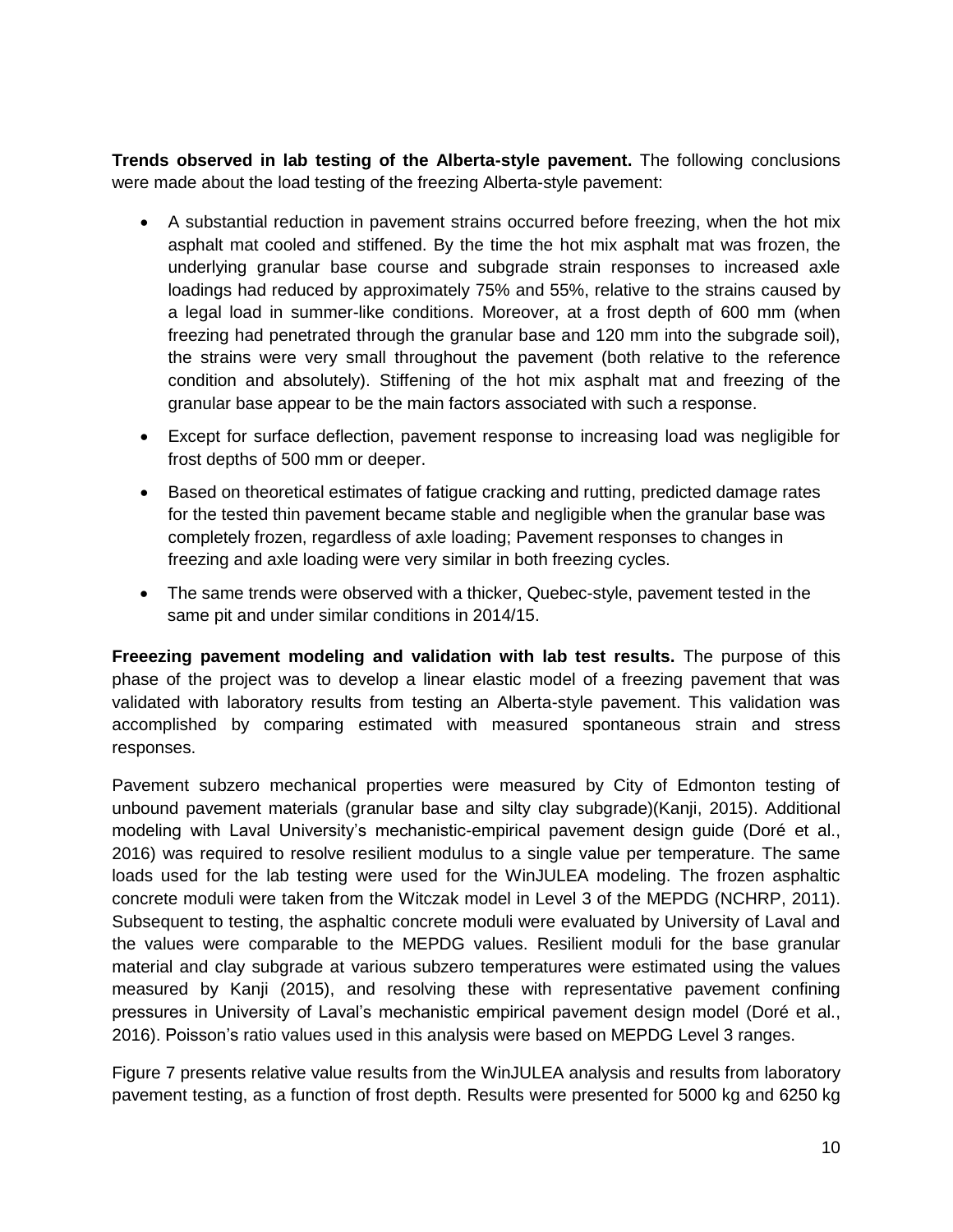**Trends observed in lab testing of the Alberta-style pavement.** The following conclusions were made about the load testing of the freezing Alberta-style pavement:

- A substantial reduction in pavement strains occurred before freezing, when the hot mix asphalt mat cooled and stiffened. By the time the hot mix asphalt mat was frozen, the underlying granular base course and subgrade strain responses to increased axle loadings had reduced by approximately 75% and 55%, relative to the strains caused by a legal load in summer-like conditions. Moreover, at a frost depth of 600 mm (when freezing had penetrated through the granular base and 120 mm into the subgrade soil), the strains were very small throughout the pavement (both relative to the reference condition and absolutely). Stiffening of the hot mix asphalt mat and freezing of the granular base appear to be the main factors associated with such a response.
- Except for surface deflection, pavement response to increasing load was negligible for frost depths of 500 mm or deeper.
- Based on theoretical estimates of fatigue cracking and rutting, predicted damage rates for the tested thin pavement became stable and negligible when the granular base was completely frozen, regardless of axle loading; Pavement responses to changes in freezing and axle loading were very similar in both freezing cycles.
- The same trends were observed with a thicker, Quebec-style, pavement tested in the same pit and under similar conditions in 2014/15.

**Freeezing pavement modeling and validation with lab test results.** The purpose of this phase of the project was to develop a linear elastic model of a freezing pavement that was validated with laboratory results from testing an Alberta-style pavement. This validation was accomplished by comparing estimated with measured spontaneous strain and stress responses.

Pavement subzero mechanical properties were measured by City of Edmonton testing of unbound pavement materials (granular base and silty clay subgrade)(Kanji, 2015). Additional modeling with Laval University's mechanistic-empirical pavement design guide (Doré et al., 2016) was required to resolve resilient modulus to a single value per temperature. The same loads used for the lab testing were used for the WinJULEA modeling. The frozen asphaltic concrete moduli were taken from the Witczak model in Level 3 of the MEPDG (NCHRP, 2011). Subsequent to testing, the asphaltic concrete moduli were evaluated by University of Laval and the values were comparable to the MEPDG values. Resilient moduli for the base granular material and clay subgrade at various subzero temperatures were estimated using the values measured by Kanji (2015), and resolving these with representative pavement confining pressures in University of Laval's mechanistic empirical pavement design model (Doré et al., 2016). Poisson's ratio values used in this analysis were based on MEPDG Level 3 ranges.

[Figure 7](#page-10-0) presents relative value results from the WinJULEA analysis and results from laboratory pavement testing, as a function of frost depth. Results were presented for 5000 kg and 6250 kg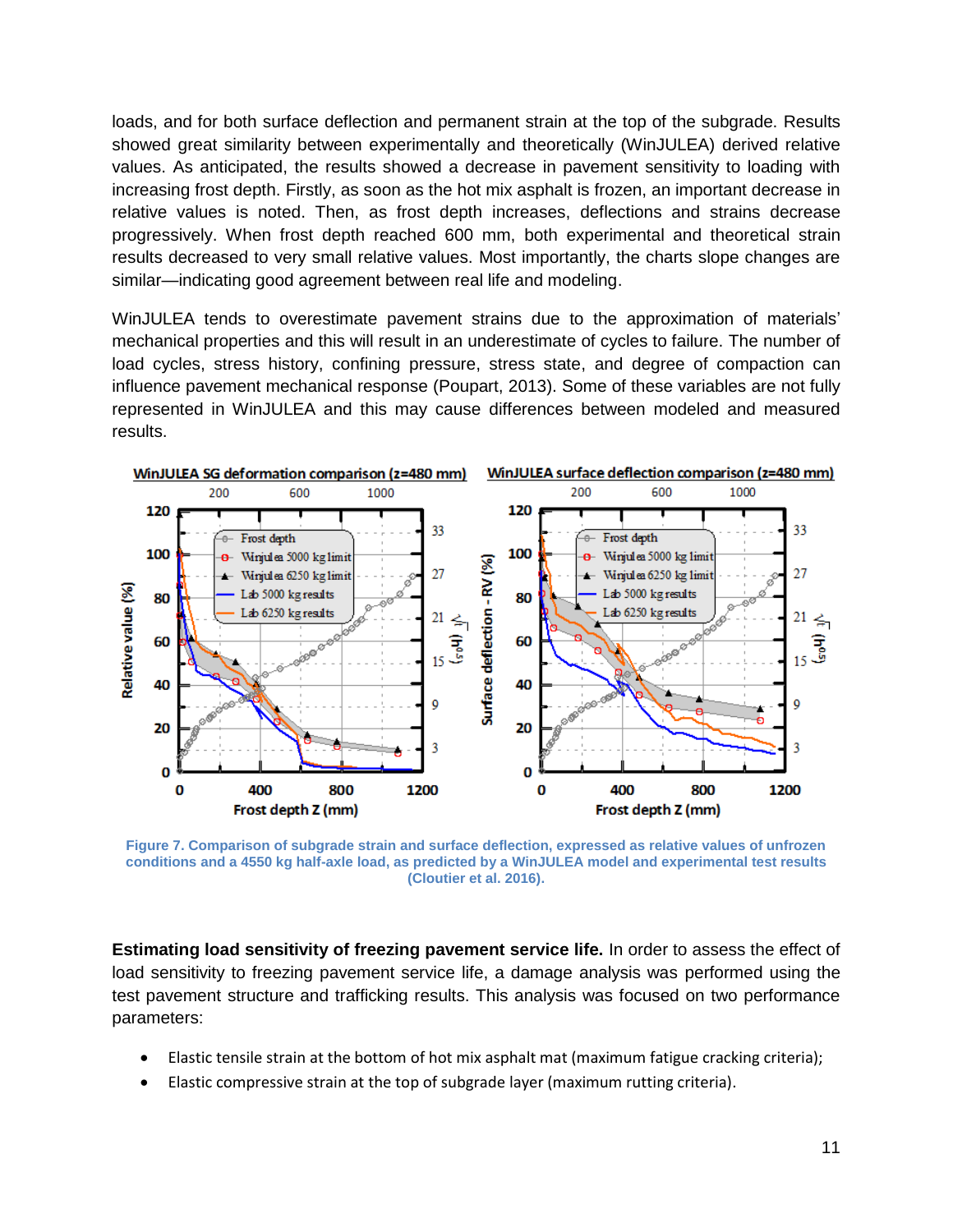loads, and for both surface deflection and permanent strain at the top of the subgrade. Results showed great similarity between experimentally and theoretically (WinJULEA) derived relative values. As anticipated, the results showed a decrease in pavement sensitivity to loading with increasing frost depth. Firstly, as soon as the hot mix asphalt is frozen, an important decrease in relative values is noted. Then, as frost depth increases, deflections and strains decrease progressively. When frost depth reached 600 mm, both experimental and theoretical strain results decreased to very small relative values. Most importantly, the charts slope changes are similar—indicating good agreement between real life and modeling.

WinJULEA tends to overestimate pavement strains due to the approximation of materials' mechanical properties and this will result in an underestimate of cycles to failure. The number of load cycles, stress history, confining pressure, stress state, and degree of compaction can influence pavement mechanical response (Poupart, 2013). Some of these variables are not fully represented in WinJULEA and this may cause differences between modeled and measured results.



<span id="page-10-0"></span>**Figure 7. Comparison of subgrade strain and surface deflection, expressed as relative values of unfrozen conditions and a 4550 kg half-axle load, as predicted by a WinJULEA model and experimental test results (Cloutier et al. 2016).**

**Estimating load sensitivity of freezing pavement service life.** In order to assess the effect of load sensitivity to freezing pavement service life, a damage analysis was performed using the test pavement structure and trafficking results. This analysis was focused on two performance parameters:

- Elastic tensile strain at the bottom of hot mix asphalt mat (maximum fatigue cracking criteria);
- Elastic compressive strain at the top of subgrade layer (maximum rutting criteria).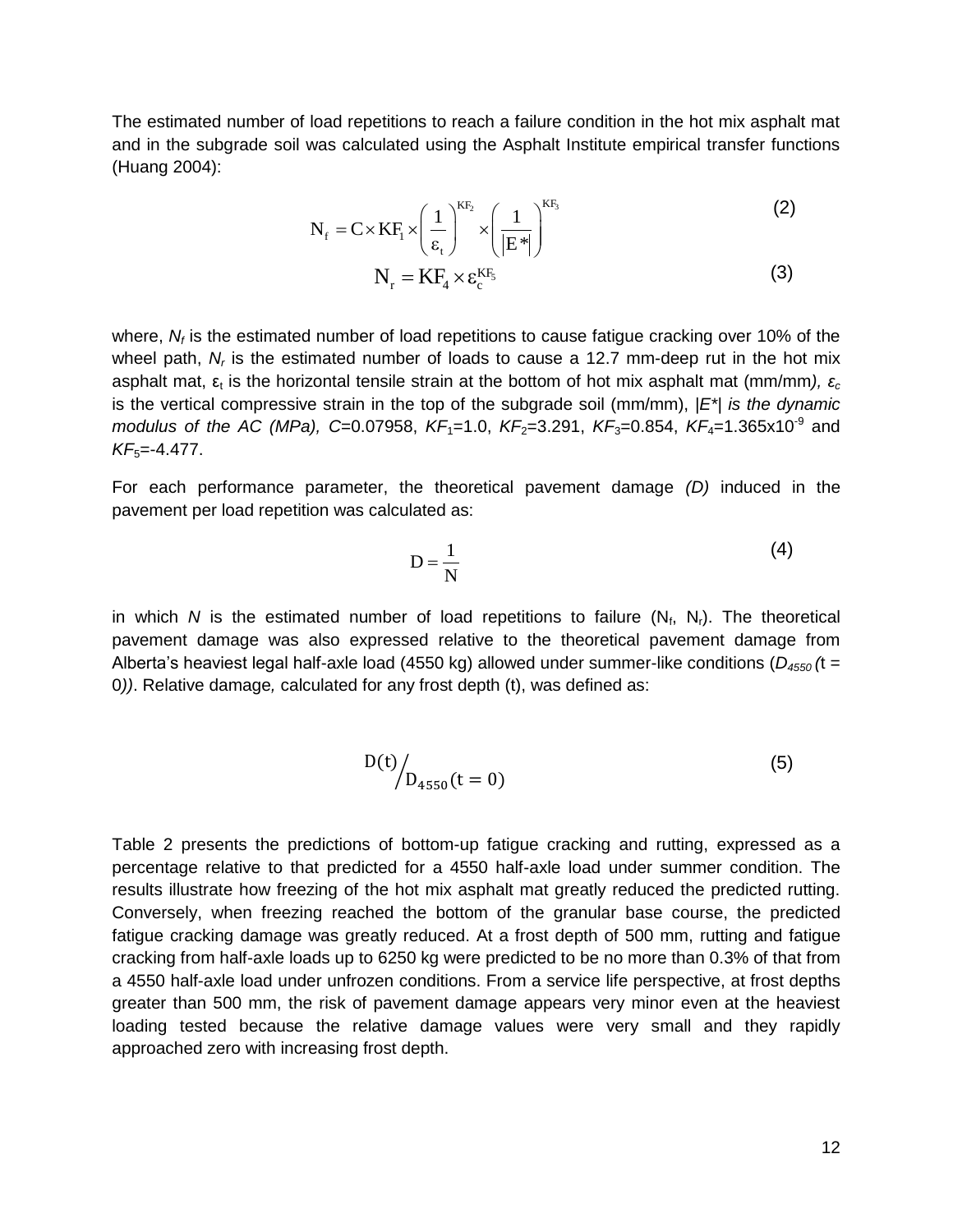The estimated number of load repetitions to reach a failure condition in the hot mix asphalt mat and in the subgrade soil was calculated using the Asphalt Institute empirical transfer functions (Huang 2004):

$$
N_{f} = C \times KF_{i} \times \left(\frac{1}{\epsilon_{t}}\right)^{KF_{2}} \times \left(\frac{1}{|E^{*}|}\right)^{KF_{3}}
$$
\n(2)

$$
N_r = K F_4 \times \varepsilon_c^{K F_5}
$$
 (3)

where, N<sub>f</sub> is the estimated number of load repetitions to cause fatigue cracking over 10% of the wheel path, N<sub>r</sub> is the estimated number of loads to cause a 12.7 mm-deep rut in the hot mix asphalt mat, ε<sub>t</sub> is the horizontal tensile strain at the bottom of hot mix asphalt mat (mm/mm*), εc* is the vertical compressive strain in the top of the subgrade soil (mm/mm), *|E\*| is the dynamic modulus of the AC (MPa), C=0.07958, KF*<sub>1</sub>=1.0, KF<sub>2</sub>=3.291, KF<sub>3</sub>=0.854, KF<sub>4</sub>=1.365x10<sup>-9</sup> and *KF*<sub>5</sub>=-4.477.

For each performance parameter, the theoretical pavement damage *(D)* induced in the pavement per load repetition was calculated as:

$$
D = \frac{1}{N} \tag{4}
$$

in which N is the estimated number of load repetitions to failure  $(N_f, N_f)$ . The theoretical pavement damage was also expressed relative to the theoretical pavement damage from Alberta's heaviest legal half-axle load (4550 kg) allowed under summer-like conditions (*D<sup>4550</sup> (*t = 0*))*. Relative damage*,* calculated for any frost depth (t), was defined as:

$$
D(t) / D_{4550}(t = 0)
$$
 (5)

[Table 2](#page-12-0) presents the predictions of bottom-up fatigue cracking and rutting, expressed as a percentage relative to that predicted for a 4550 half-axle load under summer condition. The results illustrate how freezing of the hot mix asphalt mat greatly reduced the predicted rutting. Conversely, when freezing reached the bottom of the granular base course, the predicted fatigue cracking damage was greatly reduced. At a frost depth of 500 mm, rutting and fatigue cracking from half-axle loads up to 6250 kg were predicted to be no more than 0.3% of that from a 4550 half-axle load under unfrozen conditions. From a service life perspective, at frost depths greater than 500 mm, the risk of pavement damage appears very minor even at the heaviest loading tested because the relative damage values were very small and they rapidly approached zero with increasing frost depth.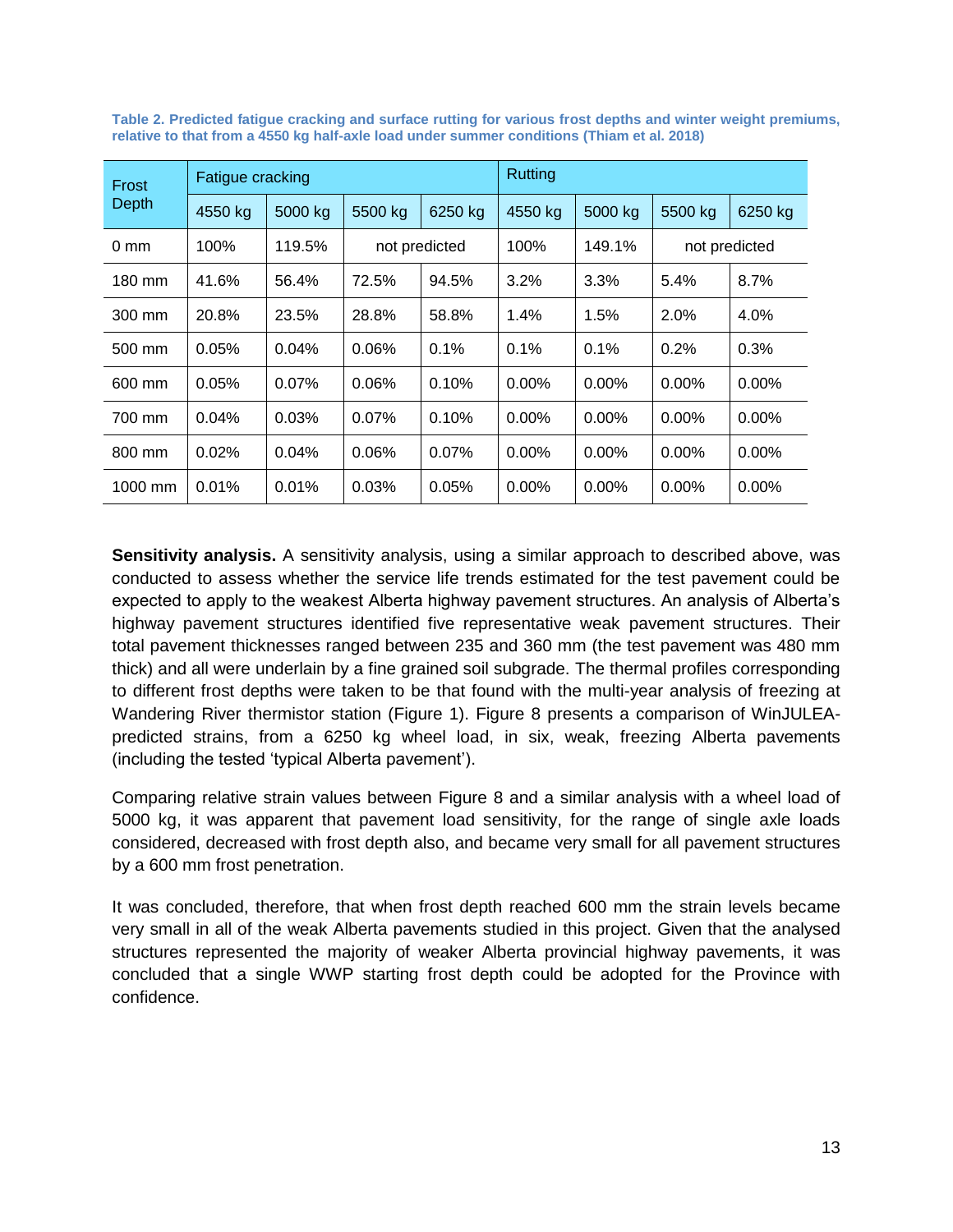| Frost<br><b>Depth</b> | Fatigue cracking |         |               |          | Rutting  |          |               |          |
|-----------------------|------------------|---------|---------------|----------|----------|----------|---------------|----------|
|                       | 4550 kg          | 5000 kg | 5500 kg       | 6250 kg  | 4550 kg  | 5000 kg  | 5500 kg       | 6250 kg  |
| $0 \text{ mm}$        | 100%             | 119.5%  | not predicted |          | 100%     | 149.1%   | not predicted |          |
| 180 mm                | 41.6%            | 56.4%   | 72.5%         | 94.5%    | 3.2%     | 3.3%     | 5.4%          | 8.7%     |
| 300 mm                | 20.8%            | 23.5%   | 28.8%         | 58.8%    | 1.4%     | 1.5%     | 2.0%          | 4.0%     |
| 500 mm                | 0.05%            | 0.04%   | 0.06%         | 0.1%     | 0.1%     | 0.1%     | 0.2%          | 0.3%     |
| 600 mm                | 0.05%            | 0.07%   | 0.06%         | 0.10%    | $0.00\%$ | $0.00\%$ | $0.00\%$      | $0.00\%$ |
| 700 mm                | 0.04%            | 0.03%   | 0.07%         | 0.10%    | $0.00\%$ | $0.00\%$ | $0.00\%$      | $0.00\%$ |
| 800 mm                | 0.02%            | 0.04%   | 0.06%         | $0.07\%$ | $0.00\%$ | $0.00\%$ | $0.00\%$      | $0.00\%$ |
| 1000 mm               | 0.01%            | 0.01%   | 0.03%         | 0.05%    | $0.00\%$ | $0.00\%$ | $0.00\%$      | $0.00\%$ |

<span id="page-12-0"></span>**Table 2. Predicted fatigue cracking and surface rutting for various frost depths and winter weight premiums, relative to that from a 4550 kg half-axle load under summer conditions (Thiam et al. 2018)**

**Sensitivity analysis.** A sensitivity analysis, using a similar approach to described above, was conducted to assess whether the service life trends estimated for the test pavement could be expected to apply to the weakest Alberta highway pavement structures. An analysis of Alberta's highway pavement structures identified five representative weak pavement structures. Their total pavement thicknesses ranged between 235 and 360 mm (the test pavement was 480 mm thick) and all were underlain by a fine grained soil subgrade. The thermal profiles corresponding to different frost depths were taken to be that found with the multi-year analysis of freezing at Wandering River thermistor station [\(Figure 1\)](#page-3-1). [Figure 8](#page-13-0) presents a comparison of WinJULEApredicted strains, from a 6250 kg wheel load, in six, weak, freezing Alberta pavements (including the tested 'typical Alberta pavement').

Comparing relative strain values between [Figure 8](#page-13-0) and a similar analysis with a wheel load of 5000 kg, it was apparent that pavement load sensitivity, for the range of single axle loads considered, decreased with frost depth also, and became very small for all pavement structures by a 600 mm frost penetration.

It was concluded, therefore, that when frost depth reached 600 mm the strain levels became very small in all of the weak Alberta pavements studied in this project. Given that the analysed structures represented the majority of weaker Alberta provincial highway pavements, it was concluded that a single WWP starting frost depth could be adopted for the Province with confidence.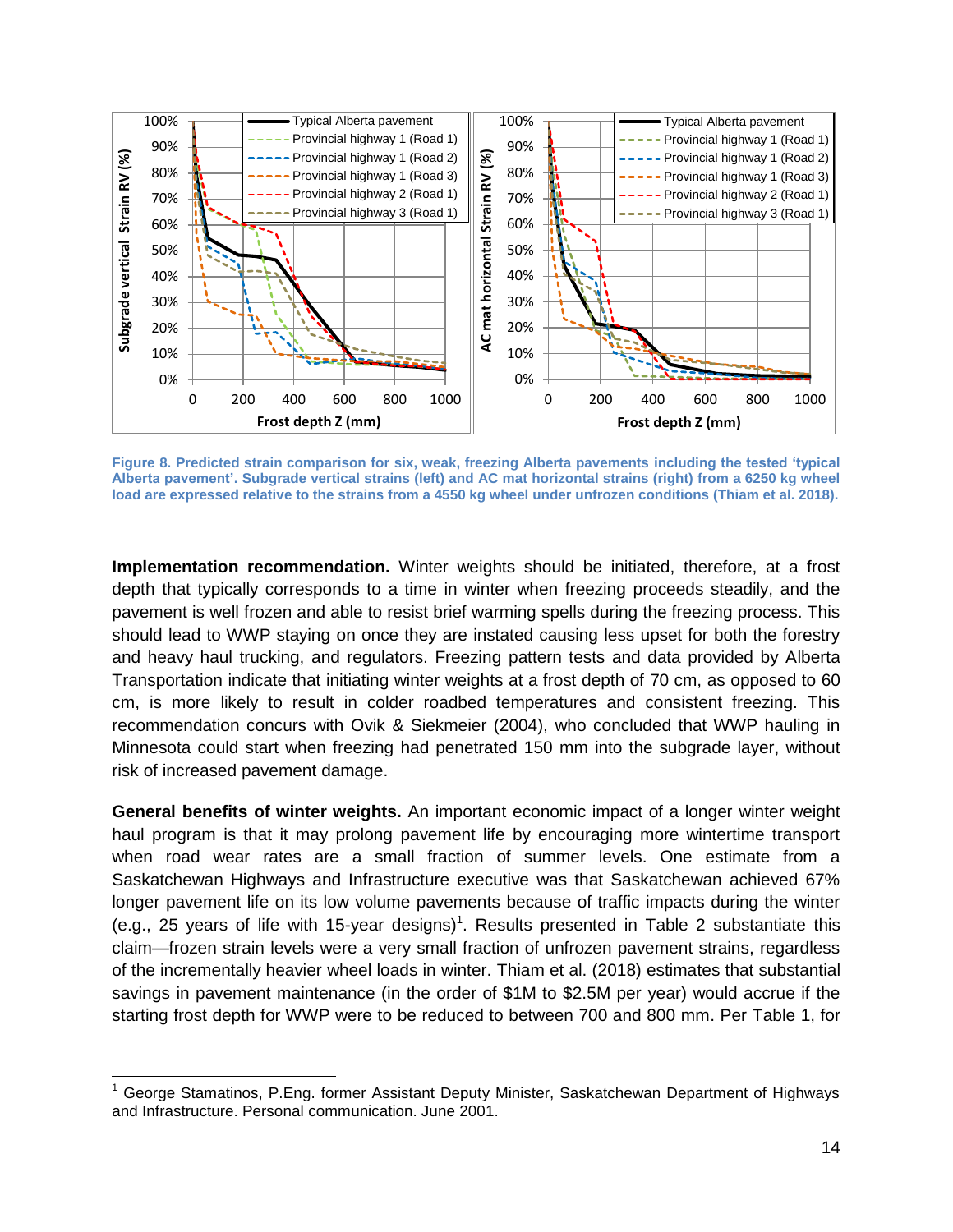

<span id="page-13-0"></span>**Figure 8. Predicted strain comparison for six, weak, freezing Alberta pavements including the tested 'typical Alberta pavement'. Subgrade vertical strains (left) and AC mat horizontal strains (right) from a 6250 kg wheel load are expressed relative to the strains from a 4550 kg wheel under unfrozen conditions (Thiam et al. 2018).**

**Implementation recommendation.** Winter weights should be initiated, therefore, at a frost depth that typically corresponds to a time in winter when freezing proceeds steadily, and the pavement is well frozen and able to resist brief warming spells during the freezing process. This should lead to WWP staying on once they are instated causing less upset for both the forestry and heavy haul trucking, and regulators. Freezing pattern tests and data provided by Alberta Transportation indicate that initiating winter weights at a frost depth of 70 cm, as opposed to 60 cm, is more likely to result in colder roadbed temperatures and consistent freezing. This recommendation concurs with Ovik & Siekmeier (2004), who concluded that WWP hauling in Minnesota could start when freezing had penetrated 150 mm into the subgrade layer, without risk of increased pavement damage.

**General benefits of winter weights.** An important economic impact of a longer winter weight haul program is that it may prolong pavement life by encouraging more wintertime transport when road wear rates are a small fraction of summer levels. One estimate from a Saskatchewan Highways and Infrastructure executive was that Saskatchewan achieved 67% longer pavement life on its low volume pavements because of traffic impacts during the winter (e.g., 25 years of life with 15-year designs)<sup>1</sup>. Results presented in [Table 2](#page-12-0) substantiate this claim—frozen strain levels were a very small fraction of unfrozen pavement strains, regardless of the incrementally heavier wheel loads in winter. Thiam et al. (2018) estimates that substantial savings in pavement maintenance (in the order of \$1M to \$2.5M per year) would accrue if the starting frost depth for WWP were to be reduced to between 700 and 800 mm. Per [Table 1,](#page-3-0) for

<sup>1</sup> George Stamatinos, P.Eng. former Assistant Deputy Minister, Saskatchewan Department of Highways and Infrastructure. Personal communication. June 2001.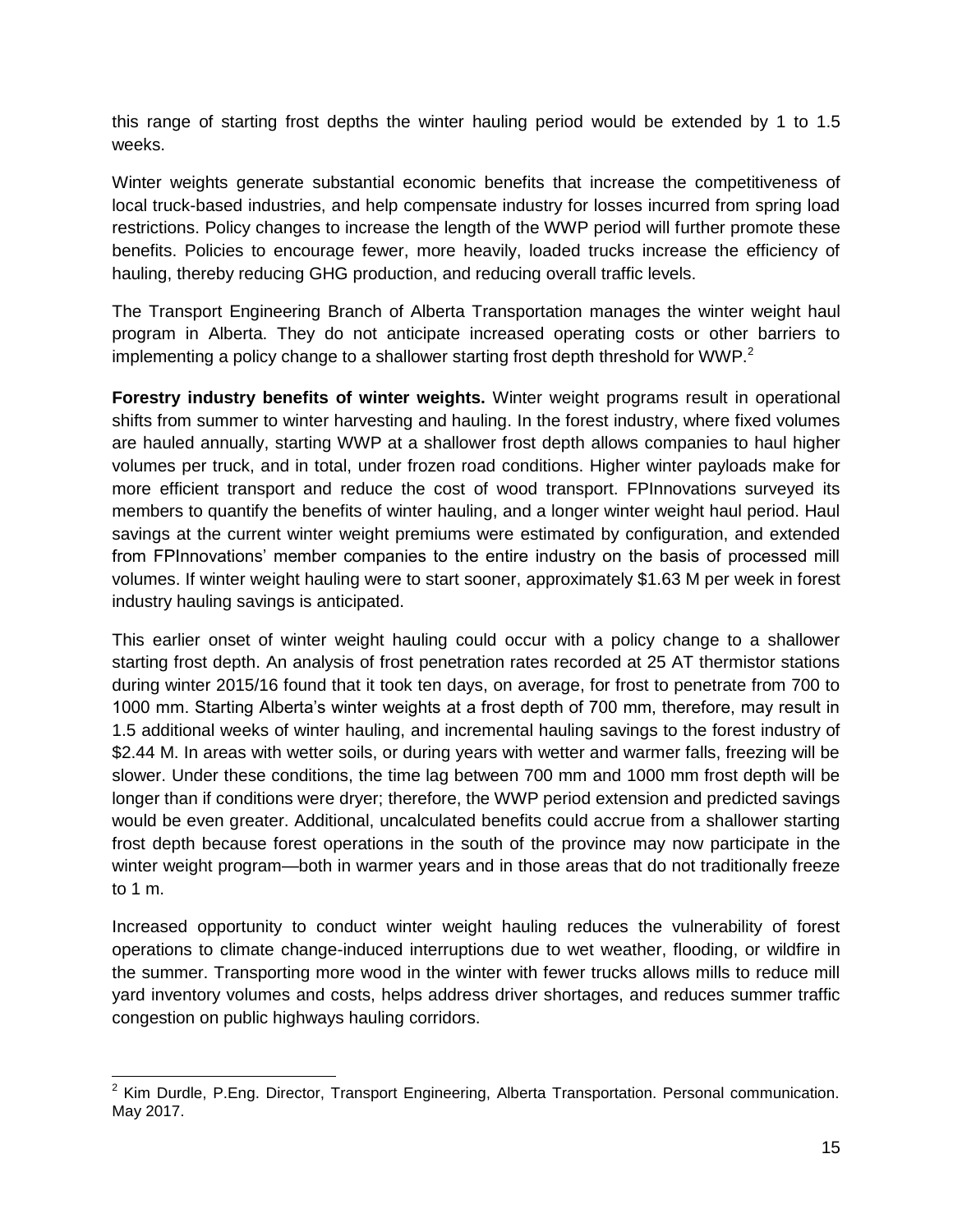this range of starting frost depths the winter hauling period would be extended by 1 to 1.5 weeks.

Winter weights generate substantial economic benefits that increase the competitiveness of local truck-based industries, and help compensate industry for losses incurred from spring load restrictions. Policy changes to increase the length of the WWP period will further promote these benefits. Policies to encourage fewer, more heavily, loaded trucks increase the efficiency of hauling, thereby reducing GHG production, and reducing overall traffic levels.

The Transport Engineering Branch of Alberta Transportation manages the winter weight haul program in Alberta. They do not anticipate increased operating costs or other barriers to implementing a policy change to a shallower starting frost depth threshold for WWP. $^{2}$ 

**Forestry industry benefits of winter weights.** Winter weight programs result in operational shifts from summer to winter harvesting and hauling. In the forest industry, where fixed volumes are hauled annually, starting WWP at a shallower frost depth allows companies to haul higher volumes per truck, and in total, under frozen road conditions. Higher winter payloads make for more efficient transport and reduce the cost of wood transport. FPInnovations surveyed its members to quantify the benefits of winter hauling, and a longer winter weight haul period. Haul savings at the current winter weight premiums were estimated by configuration, and extended from FPInnovations' member companies to the entire industry on the basis of processed mill volumes. If winter weight hauling were to start sooner, approximately \$1.63 M per week in forest industry hauling savings is anticipated.

This earlier onset of winter weight hauling could occur with a policy change to a shallower starting frost depth. An analysis of frost penetration rates recorded at 25 AT thermistor stations during winter 2015/16 found that it took ten days, on average, for frost to penetrate from 700 to 1000 mm. Starting Alberta's winter weights at a frost depth of 700 mm, therefore, may result in 1.5 additional weeks of winter hauling, and incremental hauling savings to the forest industry of \$2.44 M. In areas with wetter soils, or during years with wetter and warmer falls, freezing will be slower. Under these conditions, the time lag between 700 mm and 1000 mm frost depth will be longer than if conditions were dryer; therefore, the WWP period extension and predicted savings would be even greater. Additional, uncalculated benefits could accrue from a shallower starting frost depth because forest operations in the south of the province may now participate in the winter weight program—both in warmer years and in those areas that do not traditionally freeze to 1 m.

Increased opportunity to conduct winter weight hauling reduces the vulnerability of forest operations to climate change-induced interruptions due to wet weather, flooding, or wildfire in the summer. Transporting more wood in the winter with fewer trucks allows mills to reduce mill yard inventory volumes and costs, helps address driver shortages, and reduces summer traffic congestion on public highways hauling corridors.

<sup>&</sup>lt;u>2</u><br><sup>2</sup> Kim Durdle, P.Eng. Director, Transport Engineering, Alberta Transportation. Personal communication. May 2017.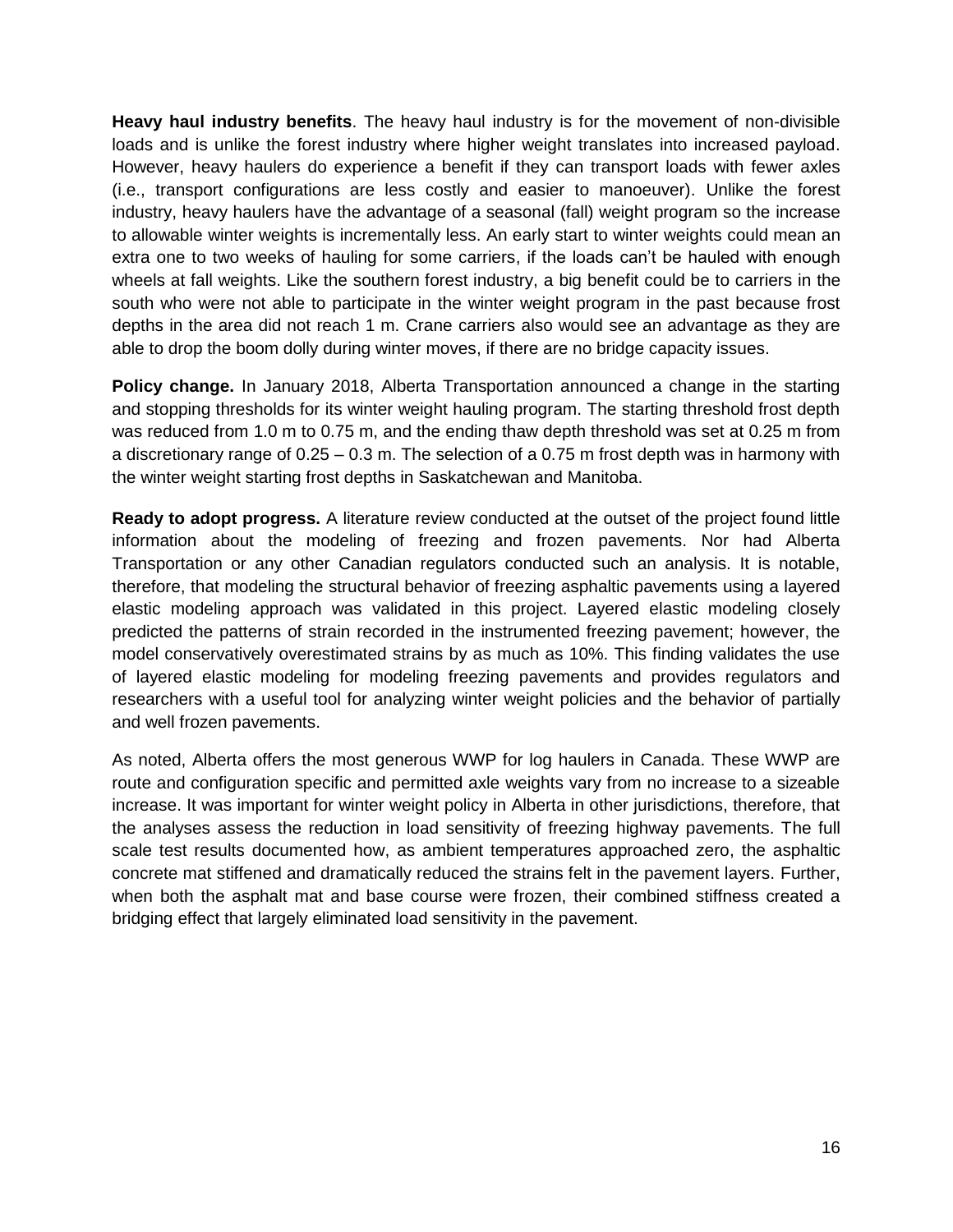**Heavy haul industry benefits**. The heavy haul industry is for the movement of non-divisible loads and is unlike the forest industry where higher weight translates into increased payload. However, heavy haulers do experience a benefit if they can transport loads with fewer axles (i.e., transport configurations are less costly and easier to manoeuver). Unlike the forest industry, heavy haulers have the advantage of a seasonal (fall) weight program so the increase to allowable winter weights is incrementally less. An early start to winter weights could mean an extra one to two weeks of hauling for some carriers, if the loads can't be hauled with enough wheels at fall weights. Like the southern forest industry, a big benefit could be to carriers in the south who were not able to participate in the winter weight program in the past because frost depths in the area did not reach 1 m. Crane carriers also would see an advantage as they are able to drop the boom dolly during winter moves, if there are no bridge capacity issues.

**Policy change.** In January 2018, Alberta Transportation announced a change in the starting and stopping thresholds for its winter weight hauling program. The starting threshold frost depth was reduced from 1.0 m to 0.75 m, and the ending thaw depth threshold was set at 0.25 m from a discretionary range of 0.25 – 0.3 m. The selection of a 0.75 m frost depth was in harmony with the winter weight starting frost depths in Saskatchewan and Manitoba.

**Ready to adopt progress.** A literature review conducted at the outset of the project found little information about the modeling of freezing and frozen pavements. Nor had Alberta Transportation or any other Canadian regulators conducted such an analysis. It is notable, therefore, that modeling the structural behavior of freezing asphaltic pavements using a layered elastic modeling approach was validated in this project. Layered elastic modeling closely predicted the patterns of strain recorded in the instrumented freezing pavement; however, the model conservatively overestimated strains by as much as 10%. This finding validates the use of layered elastic modeling for modeling freezing pavements and provides regulators and researchers with a useful tool for analyzing winter weight policies and the behavior of partially and well frozen pavements.

As noted, Alberta offers the most generous WWP for log haulers in Canada. These WWP are route and configuration specific and permitted axle weights vary from no increase to a sizeable increase. It was important for winter weight policy in Alberta in other jurisdictions, therefore, that the analyses assess the reduction in load sensitivity of freezing highway pavements. The full scale test results documented how, as ambient temperatures approached zero, the asphaltic concrete mat stiffened and dramatically reduced the strains felt in the pavement layers. Further, when both the asphalt mat and base course were frozen, their combined stiffness created a bridging effect that largely eliminated load sensitivity in the pavement.